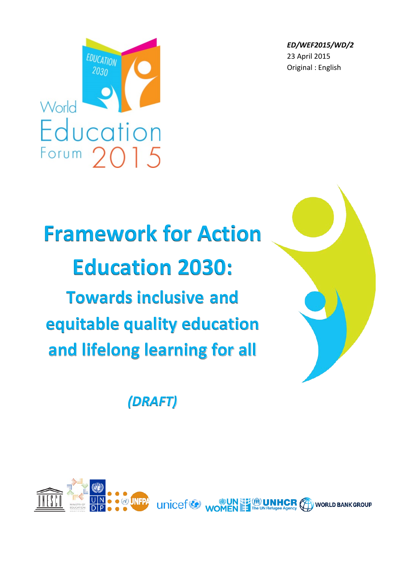*ED/WEF2015/WD/2* 23 April 2015 Original : English



# **Framework for Action Education 2030: Towards inclusive and equitable quality education and lifelong learning for all**

*(DRAFT)*

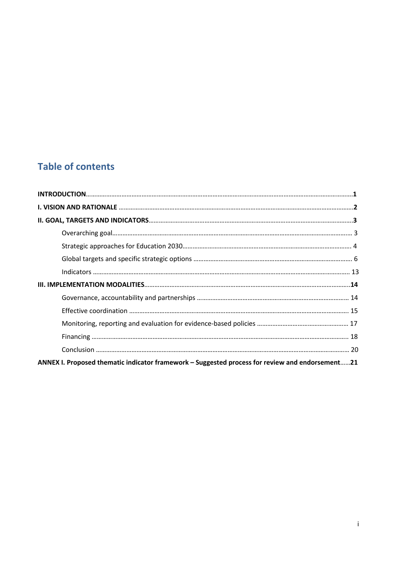## **Table of contents**

| ANNEX I. Proposed thematic indicator framework – Suggested process for review and endorsement21 |  |
|-------------------------------------------------------------------------------------------------|--|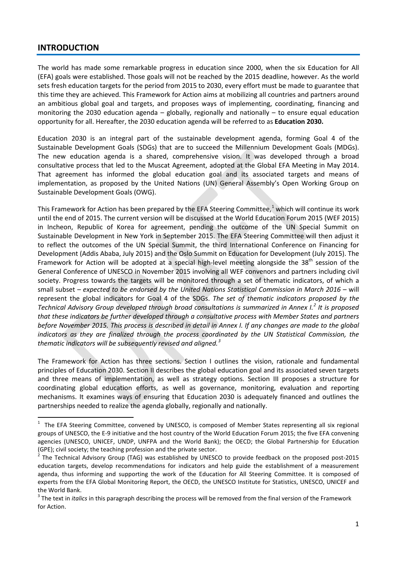#### **INTRODUCTION**

The world has made some remarkable progress in education since 2000, when the six Education for All (EFA) goals were established. Those goals will not be reached by the 2015 deadline, however. As the world sets fresh education targets for the period from 2015 to 2030, every effort must be made to guarantee that this time they are achieved. This Framework for Action aims at mobilizing all countries and partners around an ambitious global goal and targets, and proposes ways of implementing, coordinating, financing and monitoring the 2030 education agenda – globally, regionally and nationally – to ensure equal education opportunity for all. Hereafter, the 2030 education agenda will be referred to as **Education 2030.**

Education 2030 is an integral part of the sustainable development agenda, forming Goal 4 of the Sustainable Development Goals (SDGs) that are to succeed the Millennium Development Goals (MDGs). The new education agenda is a shared, comprehensive vision. It was developed through a broad consultative process that led to the Muscat Agreement, adopted at the Global EFA Meeting in May 2014. That agreement has informed the global education goal and its associated targets and means of implementation, as proposed by the United Nations (UN) General Assembly's Open Working Group on Sustainable Development Goals (OWG).

This Framework for Action has been prepared by the EFA Steering Committee,<sup>[1](#page-2-0)</sup> which will continue its work until the end of 2015. The current version will be discussed at the World Education Forum 2015 (WEF 2015) in Incheon, Republic of Korea for agreement, pending the outcome of the UN Special Summit on Sustainable Development in New York in September 2015. The EFA Steering Committee will then adjust it to reflect the outcomes of the UN Special Summit, the third International Conference on Financing for Development (Addis Ababa, July 2015) and the Oslo Summit on Education for Development (July 2015). The Framework for Action will be adopted at a special high-level meeting alongside the  $38<sup>th</sup>$  session of the General Conference of UNESCO in November 2015 involving all WEF convenors and partners including civil society. Progress towards the targets will be monitored through a set of thematic indicators, of which a small subset *– expected to be endorsed by the United Nations Statistical Commission in March 2016 –* will represent the global indicators for Goal 4 of the SDGs. *The set of thematic indicators proposed by the Technical Advisory Group developed through broad consultations is summarized in Annex I.<sup>[2](#page-2-1)</sup> It is proposed that these indicators be further developed through a consultative process with Member States and partners before November 2015. This process is described in detail in Annex I. If any changes are made to the global indicators as they are finalized through the process coordinated by the UN Statistical Commission, the thematic indicators will be subsequently revised and aligned.[3](#page-2-2)*

The Framework for Action has three sections. Section I outlines the vision, rationale and fundamental principles of Education 2030. Section II describes the global education goal and its associated seven targets and three means of implementation, as well as strategy options. Section III proposes a structure for coordinating global education efforts, as well as governance, monitoring, evaluation and reporting mechanisms. It examines ways of ensuring that Education 2030 is adequately financed and outlines the partnerships needed to realize the agenda globally, regionally and nationally.

<span id="page-2-0"></span> $\frac{1}{1}$  $1$  The EFA Steering Committee, convened by UNESCO, is composed of Member States representing all six regional groups of UNESCO, the E-9 initiative and the host country of the World Education Forum 2015; the five EFA convening agencies (UNESCO, UNICEF, UNDP, UNFPA and the World Bank); the OECD; the Global Partnership for Education (GPE); civil society; the teaching profession and the private sector.<br><sup>2</sup> The Technical Advisory Group (TAG) was established by UNESCO to provide feedback on the proposed post-2015

<span id="page-2-1"></span>education targets, develop recommendations for indicators and help guide the establishment of a measurement agenda, thus informing and supporting the work of the Education for All Steering Committee. It is composed of experts from the EFA Global Monitoring Report, the OECD, the UNESCO Institute for Statistics, UNESCO, UNICEF and the World Bank.<br><sup>3</sup> The text in *italics* in this paragraph describing the process will be removed from the final version of the Framework

<span id="page-2-2"></span>for Action.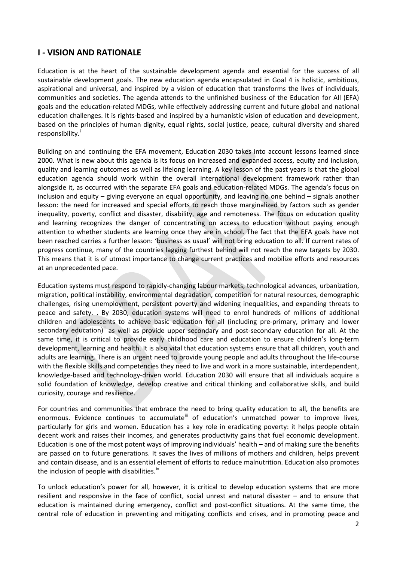## **I - VISION AND RATIONALE**

Education is at the heart of the sustainable development agenda and essential for the success of all sustainable development goals. The new education agenda encapsulated in Goal 4 is holistic, ambitious, aspirational and universal, and inspired by a vision of education that transforms the lives of individuals, communities and societies. The agenda attends to the unfinished business of the Education for All (EFA) goals and the education-related MDGs, while effectively addressing current and future global and national education challenges. It is rights-based and inspired by a humanistic vision of education and development, based on the principles of human dignity, equal rights, social justice, peace, cultural diversity and shared respons[i](#page-27-0)bility.<sup>1</sup>

Building on and continuing the EFA movement, Education 2030 takes into account lessons learned since 2000. What is new about this agenda is its focus on increased and expanded access, equity and inclusion, quality and learning outcomes as well as lifelong learning. A key lesson of the past years is that the global education agenda should work within the overall international development framework rather than alongside it, as occurred with the separate EFA goals and education-related MDGs. The agenda's focus on inclusion and equity – giving everyone an equal opportunity, and leaving no one behind – signals another lesson: the need for increased and special efforts to reach those marginalized by factors such as gender inequality, poverty, conflict and disaster, disability, age and remoteness. The focus on education quality and learning recognizes the danger of concentrating on access to education without paying enough attention to whether students are learning once they are in school. The fact that the EFA goals have not been reached carries a further lesson: 'business as usual' will not bring education to all. If current rates of progress continue, many of the countries lagging furthest behind will not reach the new targets by 2030. This means that it is of utmost importance to change current practices and mobilize efforts and resources at an unprecedented pace.

Education systems must respond to rapidly-changing labour markets, technological advances, urbanization, migration, political instability, environmental degradation, competition for natural resources, demographic challenges, rising unemployment, persistent poverty and widening inequalities, and expanding threats to peace and safety. . By 2030, education systems will need to enrol hundreds of millions of additional children and adolescents to achieve basic education for all (including pre-primary, primary and lower secondary education)<sup>"</sup> as well as provide upper secondary and post-secondary education for all. At the same time, it is critical to provide early childhood care and education to ensure children's long-term development, learning and health. It is also vital that education systems ensure that all children, youth and adults are learning. There is an urgent need to provide young people and adults throughout the life-course with the flexible skills and competencies they need to live and work in a more sustainable, interdependent, knowledge-based and technology-driven world. Education 2030 will ensure that all individuals acquire a solid foundation of knowledge, develop creative and critical thinking and collaborative skills, and build curiosity, courage and resilience.

For countries and communities that embrace the need to bring quality education to all, the benefits are enormous. Evidence continues to accumulate<sup>III</sup> of education's unmatched power to improve lives, particularly for girls and women. Education has a key role in eradicating poverty: it helps people obtain decent work and raises their incomes, and generates productivity gains that fuel economic development. Education is one of the most potent ways of improving individuals' health – and of making sure the benefits are passed on to future generations. It saves the lives of millions of mothers and children, helps prevent and contain disease, and is an essential element of efforts to reduce malnutrition. Education also promotes the inclusion of people with disabilities.<sup>[iv](#page-27-3)</sup>

To unlock education's power for all, however, it is critical to develop education systems that are more resilient and responsive in the face of conflict, social unrest and natural disaster – and to ensure that education is maintained during emergency, conflict and post-conflict situations. At the same time, the central role of education in preventing and mitigating conflicts and crises, and in promoting peace and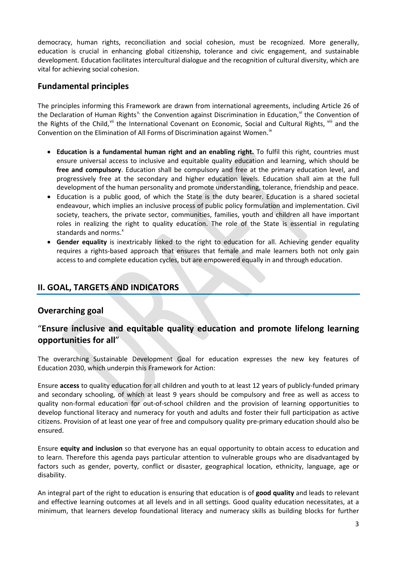democracy, human rights, reconciliation and social cohesion, must be recognized. More generally, education is crucial in enhancing global citizenship, tolerance and civic engagement, and sustainable development. Education facilitates intercultural dialogue and the recognition of cultural diversity, which are vital for achieving social cohesion.

## **Fundamental principles**

The principles informing this Framework are drawn from international agreements, including Article 26 of the Declaration of Human Rights<sup>[v,](#page-27-4)</sup> the Convention against Discrimination in Education, <sup>[vi](#page-27-5)</sup> the Convention of the Rights of the Child, withe International Covenant on Economic, Social and Cultural Rights, will and the Convention on the Elimination of All Forms of Discrimination against Women.<sup>[ix](#page-27-8)</sup>

- **Education is a fundamental human right and an enabling right.** To fulfil this right, countries must ensure universal access to inclusive and equitable quality education and learning, which should be **free and compulsory**. Education shall be compulsory and free at the primary education level, and progressively free at the secondary and higher education levels. Education shall aim at the full development of the human personality and promote understanding, tolerance, friendship and peace.
- Education is a public good, of which the State is the duty bearer. Education is a shared societal endeavour, which implies an inclusive process of public policy formulation and implementation. Civil society, teachers, the private sector, communities, families, youth and children all have important roles in realizing the right to quality education. The role of the State is essential in regulating standards and norms.<sup>[x](#page-27-9)</sup>
- **Gender equality** is inextricably linked to the right to education for all. Achieving gender equality requires a rights-based approach that ensures that female and male learners both not only gain access to and complete education cycles, but are empowered equally in and through education.

## **II. GOAL, TARGETS AND INDICATORS**

## **Overarching goal**

## "**Ensure inclusive and equitable quality education and promote lifelong learning opportunities for all**"

The overarching Sustainable Development Goal for education expresses the new key features of Education 2030, which underpin this Framework for Action:

Ensure **access** to quality education for all children and youth to at least 12 years of publicly-funded primary and secondary schooling, of which at least 9 years should be compulsory and free as well as access to quality non-formal education for out-of-school children and the provision of learning opportunities to develop functional literacy and numeracy for youth and adults and foster their full participation as active citizens. Provision of at least one year of free and compulsory quality pre-primary education should also be ensured.

Ensure **equity and inclusion** so that everyone has an equal opportunity to obtain access to education and to learn. Therefore this agenda pays particular attention to vulnerable groups who are disadvantaged by factors such as gender, poverty, conflict or disaster, geographical location, ethnicity, language, age or disability.

An integral part of the right to education is ensuring that education is of **good quality** and leads to relevant and effective learning outcomes at all levels and in all settings. Good quality education necessitates, at a minimum, that learners develop foundational literacy and numeracy skills as building blocks for further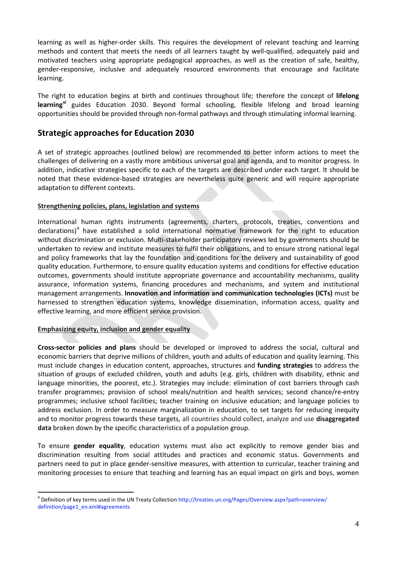learning as well as higher-order skills. This requires the development of relevant teaching and learning methods and content that meets the needs of all learners taught by well-qualified, adequately paid and motivated teachers using appropriate pedagogical approaches, as well as the creation of safe, healthy, gender-responsive, inclusive and adequately resourced environments that encourage and facilitate learning.

The right to education begins at birth and continues throughout life; therefore the concept of **lifelong learning[xi](#page-27-10)** guides Education 2030. Beyond formal schooling, flexible lifelong and broad learning opportunities should be provided through non-formal pathways and through stimulating informal learning.

## **Strategic approaches for Education 2030**

A set of strategic approaches (outlined below) are recommended to better inform actions to meet the challenges of delivering on a vastly more ambitious universal goal and agenda, and to monitor progress. In addition, indicative strategies specific to each of the targets are described under each target. It should be noted that these evidence-based strategies are nevertheless quite generic and will require appropriate adaptation to different contexts.

#### **Strengthening policies, plans, legislation and systems**

International human rights instruments (agreements, charters, protocols, treaties, conventions and declarations)[4](#page-5-0) have established a solid international normative framework for the right to education without discrimination or exclusion. Multi-stakeholder participatory reviews led by governments should be undertaken to review and institute measures to fulfil their obligations, and to ensure strong national legal and policy frameworks that lay the foundation and conditions for the delivery and sustainability of good quality education. Furthermore, to ensure quality education systems and conditions for effective education outcomes, governments should institute appropriate governance and accountability mechanisms, quality assurance, information systems, financing procedures and mechanisms, and system and institutional management arrangements. **Innovation and information and communication technologies (ICTs)** must be harnessed to strengthen education systems, knowledge dissemination, information access, quality and effective learning, and more efficient service provision.

#### **Emphasizing equity, inclusion and gender equality**

**Cross-sector policies and plans** should be developed or improved to address the social, cultural and economic barriers that deprive millions of children, youth and adults of education and quality learning. This must include changes in education content, approaches, structures and **funding strategies** to address the situation of groups of excluded children, youth and adults (e.g. girls, children with disability, ethnic and language minorities, the poorest, etc.). Strategies may include: elimination of cost barriers through cash transfer programmes; provision of school meals/nutrition and health services; second chance/re-entry programmes; inclusive school facilities; teacher training on inclusive education; and language policies to address exclusion. In order to measure marginalization in education, to set targets for reducing inequity and to monitor progress towards these targets, all countries should collect, analyze and use **disaggregated data** broken down by the specific characteristics of a population group.

To ensure **gender equality**, education systems must also act explicitly to remove gender bias and discrimination resulting from social attitudes and practices and economic status. Governments and partners need to put in place gender-sensitive measures, with attention to curricular, teacher training and monitoring processes to ensure that teaching and learning has an equal impact on girls and boys, women

<span id="page-5-0"></span> <sup>4</sup> Definition of key terms used in the UN Treaty Collection http://treaties.un.org/Pages/Overview.aspx?path=overview/ definition/page1\_en.xml#agreements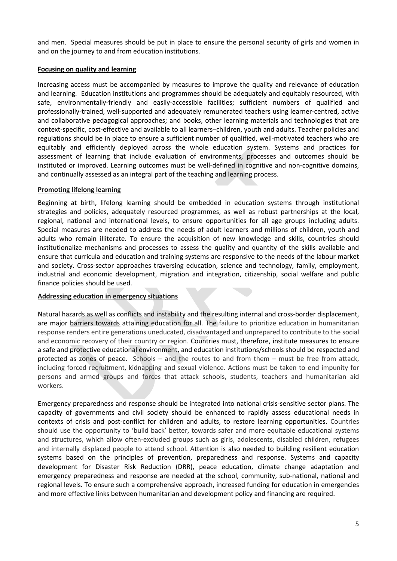and men. Special measures should be put in place to ensure the personal security of girls and women in and on the journey to and from education institutions.

#### **Focusing on quality and learning**

Increasing access must be accompanied by measures to improve the quality and relevance of education and learning. Education institutions and programmes should be adequately and equitably resourced, with safe, environmentally-friendly and easily-accessible facilities; sufficient numbers of qualified and professionally-trained, well-supported and adequately remunerated teachers using learner-centred, active and collaborative pedagogical approaches; and books, other learning materials and technologies that are context-specific, cost-effective and available to all learners-children, youth and adults. Teacher policies and regulations should be in place to ensure a sufficient number of qualified, well-motivated teachers who are equitably and efficiently deployed across the whole education system. Systems and practices for assessment of learning that include evaluation of environments, processes and outcomes should be instituted or improved. Learning outcomes must be well-defined in cognitive and non-cognitive domains, and continually assessed as an integral part of the teaching and learning process.

#### **Promoting lifelong learning**

Beginning at birth, lifelong learning should be embedded in education systems through institutional strategies and policies, adequately resourced programmes, as well as robust partnerships at the local, regional, national and international levels, to ensure opportunities for all age groups including adults. Special measures are needed to address the needs of adult learners and millions of children, youth and adults who remain illiterate. To ensure the acquisition of new knowledge and skills, countries should institutionalize mechanisms and processes to assess the quality and quantity of the skills available and ensure that curricula and education and training systems are responsive to the needs of the labour market and society. Cross-sector approaches traversing education, science and technology, family, employment, industrial and economic development, migration and integration, citizenship, social welfare and public finance policies should be used.

#### **Addressing education in emergency situations**

Natural hazards as well as conflicts and instability and the resulting internal and cross-border displacement, are major barriers towards attaining education for all. The failure to prioritize education in humanitarian response renders entire generations uneducated, disadvantaged and unprepared to contribute to the social and economic recovery of their country or region. Countries must, therefore, institute measures to ensure a safe and protective educational environment, and education institutions/schools should be respected and protected as zones of peace. Schools – and the routes to and from them – must be free from attack, including forced recruitment, kidnapping and sexual violence. Actions must be taken to end impunity for persons and armed groups and forces that attack schools, students, teachers and humanitarian aid workers.

Emergency preparedness and response should be integrated into national crisis-sensitive sector plans. The capacity of governments and civil society should be enhanced to rapidly assess educational needs in contexts of crisis and post-conflict for children and adults, to restore learning opportunities. Countries should use the opportunity to 'build back' better, towards safer and more equitable educational systems and structures, which allow often-excluded groups such as girls, adolescents, disabled children, refugees and internally displaced people to attend school. Attention is also needed to building resilient education systems based on the principles of prevention, preparedness and response. Systems and capacity development for Disaster Risk Reduction (DRR), peace education, climate change adaptation and emergency preparedness and response are needed at the school, community, sub-national, national and regional levels. To ensure such a comprehensive approach, increased funding for education in emergencies and more effective links between humanitarian and development policy and financing are required.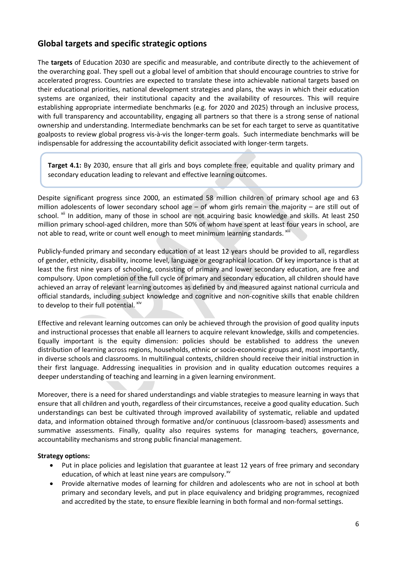## **Global targets and specific strategic options**

The **targets** of Education 2030 are specific and measurable, and contribute directly to the achievement of the overarching goal. They spell out a global level of ambition that should encourage countries to strive for accelerated progress. Countries are expected to translate these into achievable national targets based on their educational priorities, national development strategies and plans, the ways in which their education systems are organized, their institutional capacity and the availability of resources. This will require establishing appropriate intermediate benchmarks (e.g. for 2020 and 2025) through an inclusive process, with full transparency and accountability, engaging all partners so that there is a strong sense of national ownership and understanding. Intermediate benchmarks can be set for each target to serve as quantitative goalposts to review global progress vis-à-vis the longer-term goals. Such intermediate benchmarks will be indispensable for addressing the accountability deficit associated with longer-term targets.

**Target 4.1:** By 2030, ensure that all girls and boys complete free, equitable and quality primary and secondary education leading to relevant and effective learning outcomes.

Despite significant progress since 2000, an estimated 58 million children of primary school age and 63 million adolescents of lower secondary school age – of whom girls remain the majority – are still out of school. <sup>[xii](#page-27-11)</sup> In addition, many of those in school are not acquiring basic knowledge and skills. At least 250 million primary school-aged children, more than 50% of whom have spent at least four years in school, are not able to read, write or count well enough to meet minimum learning standards. [xiii](#page-27-12)

Publicly-funded primary and secondary education of at least 12 years should be provided to all, regardless of gender, ethnicity, disability, income level, language or geographical location. Of key importance is that at least the first nine years of schooling, consisting of primary and lower secondary education, are free and compulsory. Upon completion of the full cycle of primary and secondary education, all children should have achieved an array of relevant learning outcomes as defined by and measured against national curricula and official standards, including subject knowledge and cognitive and non-cognitive skills that enable children to develop to their full potential. Xiv

Effective and relevant learning outcomes can only be achieved through the provision of good quality inputs and instructional processes that enable all learners to acquire relevant knowledge, skills and competencies. Equally important is the equity dimension: policies should be established to address the uneven distribution of learning across regions, households, ethnic or socio-economic groups and, most importantly, in diverse schools and classrooms. In multilingual contexts, children should receive their initial instruction in their first language. Addressing inequalities in provision and in quality education outcomes requires a deeper understanding of teaching and learning in a given learning environment.

Moreover, there is a need for shared understandings and viable strategies to measure learning in ways that ensure that all children and youth, regardless of their circumstances, receive a good quality education. Such understandings can best be cultivated through improved availability of systematic, reliable and updated data, and information obtained through formative and/or continuous (classroom-based) assessments and summative assessments. Finally, quality also requires systems for managing teachers, governance, accountability mechanisms and strong public financial management.

#### **Strategy options:**

- Put in place policies and legislation that guarantee at least 12 years of free primary and secondary education, of which at least nine years are compulsory.<sup>[xv](#page-27-14)</sup>
- Provide alternative modes of learning for children and adolescents who are not in school at both primary and secondary levels, and put in place equivalency and bridging programmes, recognized and accredited by the state, to ensure flexible learning in both formal and non-formal settings.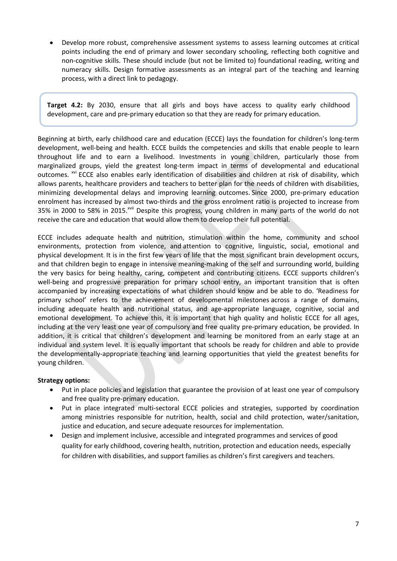• Develop more robust, comprehensive assessment systems to assess learning outcomes at critical points including the end of primary and lower secondary schooling, reflecting both cognitive and non-cognitive skills. These should include (but not be limited to) foundational reading, writing and numeracy skills. Design formative assessments as an integral part of the teaching and learning process, with a direct link to pedagogy.

**Target 4.2:** By 2030, ensure that all girls and boys have access to quality early childhood development, care and pre-primary education so that they are ready for primary education.

Beginning at birth, early childhood care and education (ECCE) lays the foundation for children's long-term development, well-being and health. ECCE builds the competencies and skills that enable people to learn throughout life and to earn a livelihood. Investments in young children, particularly those from marginalized groups, yield the greatest long-term impact in terms of developmental and educational outcomes. <sup>[xvi](#page-27-15)</sup> ECCE also enables early identification of disabilities and children at risk of disability, which allows parents, healthcare providers and teachers to better plan for the needs of children with disabilities, minimizing developmental delays and improving learning outcomes. Since 2000, pre-primary education enrolment has increased by almost two-thirds and the gross enrolment ratio is projected to increase from 35% in 2000 to 58% in 2015.<sup>[xvii](#page-27-16)</sup> Despite this progress, young children in many parts of the world do not receive the care and education that would allow them to develop their full potential.

ECCE includes adequate health and nutrition, stimulation within the home, community and school environments, protection from violence, and attention to cognitive, linguistic, social, emotional and physical development. It is in the first few years of life that the most significant brain development occurs, and that children begin to engage in intensive meaning-making of the self and surrounding world, building the very basics for being healthy, caring, competent and contributing citizens. ECCE supports children's well-being and progressive preparation for primary school entry, an important transition that is often accompanied by increasing expectations of what children should know and be able to do. 'Readiness for primary school' refers to the achievement of developmental milestones across a range of domains, including adequate health and nutritional status, and age-appropriate language, cognitive, social and emotional development. To achieve this, it is important that high quality and holistic ECCE for all ages, including at the very least one year of compulsory and free quality pre-primary education, be provided. In addition, it is critical that children's development and learning be monitored from an early stage at an individual and system level. It is equally important that schools be ready for children and able to provide the developmentally-appropriate teaching and learning opportunities that yield the greatest benefits for young children.

#### **Strategy options:**

- Put in place policies and legislation that guarantee the provision of at least one year of compulsory and free quality pre-primary education.
- Put in place integrated multi-sectoral ECCE policies and strategies, supported by coordination among ministries responsible for nutrition, health, social and child protection, water/sanitation, justice and education, and secure adequate resources for implementation.
- Design and implement inclusive, accessible and integrated programmes and services of good quality for early childhood, covering health, nutrition, protection and education needs, especially for children with disabilities, and support families as children's first caregivers and teachers.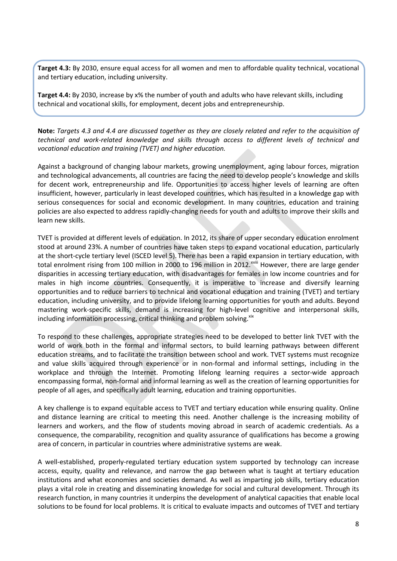**Target 4.3:** By 2030, ensure equal access for all women and men to affordable quality technical, vocational and tertiary education, including university.

**Target 4.4:** By 2030, increase by x% the number of youth and adults who have relevant skills, including technical and vocational skills, for employment, decent jobs and entrepreneurship.

Note: Targets 4.3 and 4.4 are discussed together as they are closely related and refer to the acquisition of *technical and work-related knowledge and skills through access to different levels of technical and vocational education and training (TVET) and higher education.*

Against a background of changing labour markets, growing unemployment, aging labour forces, migration and technological advancements, all countries are facing the need to develop people's knowledge and skills for decent work, entrepreneurship and life. Opportunities to access higher levels of learning are often insufficient, however, particularly in least developed countries, which has resulted in a knowledge gap with serious consequences for social and economic development. In many countries, education and training policies are also expected to address rapidly-changing needs for youth and adults to improve their skills and learn new skills.

TVET is provided at different levels of education. In 2012, its share of upper secondary education enrolment stood at around 23%. A number of countries have taken steps to expand vocational education, particularly at the short-cycle tertiary level (ISCED level 5). There has been a rapid expansion in tertiary education, with total enrolment r[i](#page-27-17)sing from 100 million in 2000 to 196 million in 2012.<sup>xviii</sup> However, there are large gender disparities in accessing tertiary education, with disadvantages for females in low income countries and for males in high income countries. Consequently, it is imperative to increase and diversify learning opportunities and to reduce barriers to technical and vocational education and training (TVET) and tertiary education, including university, and to provide lifelong learning opportunities for youth and adults. Beyond mastering work-specific skills, demand is increasing for high-level cognitive and interpersonal skills, including information processing, critical thinking and problem solving. $x^{xx}$ 

To respond to these challenges, appropriate strategies need to be developed to better link TVET with the world of work both in the formal and informal sectors, to build learning pathways between different education streams, and to facilitate the transition between school and work. TVET systems must recognize and value skills acquired through experience or in non-formal and informal settings, including in the workplace and through the Internet. Promoting lifelong learning requires a sector-wide approach encompassing formal, non-formal and informal learning as well as the creation of learning opportunities for people of all ages, and specifically adult learning, education and training opportunities.

A key challenge is to expand equitable access to TVET and tertiary education while ensuring quality. Online and distance learning are critical to meeting this need. Another challenge is the increasing mobility of learners and workers, and the flow of students moving abroad in search of academic credentials. As a consequence, the comparability, recognition and quality assurance of qualifications has become a growing area of concern, in particular in countries where administrative systems are weak.

A well-established, properly-regulated tertiary education system supported by technology can increase access, equity, quality and relevance, and narrow the gap between what is taught at tertiary education institutions and what economies and societies demand. As well as imparting job skills, tertiary education plays a vital role in creating and disseminating knowledge for social and cultural development. Through its research function, in many countries it underpins the development of analytical capacities that enable local solutions to be found for local problems. It is critical to evaluate impacts and outcomes of TVET and tertiary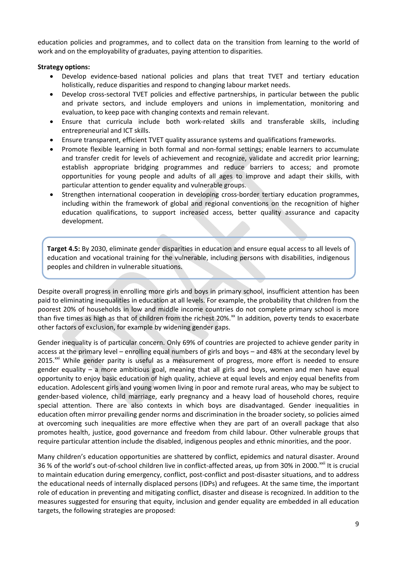education policies and programmes, and to collect data on the transition from learning to the world of work and on the employability of graduates, paying attention to disparities.

#### **Strategy options:**

- Develop evidence-based national policies and plans that treat TVET and tertiary education holistically, reduce disparities and respond to changing labour market needs.
- Develop cross-sectoral TVET policies and effective partnerships, in particular between the public and private sectors, and include employers and unions in implementation, monitoring and evaluation, to keep pace with changing contexts and remain relevant.
- Ensure that curricula include both work-related skills and transferable skills, including entrepreneurial and ICT skills.
- Ensure transparent, efficient TVET quality assurance systems and qualifications frameworks.
- Promote flexible learning in both formal and non-formal settings; enable learners to accumulate and transfer credit for levels of achievement and recognize, validate and accredit prior learning; establish appropriate bridging programmes and reduce barriers to access; and promote opportunities for young people and adults of all ages to improve and adapt their skills, with particular attention to gender equality and vulnerable groups.
- Strengthen international cooperation in developing cross-border tertiary education programmes, including within the framework of global and regional conventions on the recognition of higher education qualifications, to support increased access, better quality assurance and capacity development.

**Target 4.5:** By 2030, eliminate gender disparities in education and ensure equal access to all levels of education and vocational training for the vulnerable, including persons with disabilities, indigenous peoples and children in vulnerable situations.

Despite overall progress in enrolling more girls and boys in primary school, insufficient attention has been paid to eliminating inequalities in education at all levels. For example, the probability that children from the poorest 20% of households in low and middle income countries do not complete primary school is more than five times as high as that of children from the richest 20%.<sup>[xx](#page-27-19)</sup> In addition, poverty tends to exacerbate other factors of exclusion, for example by widening gender gaps.

Gender inequality is of particular concern. Only 69% of countries are projected to achieve gender parity in access at the primary level – enrolling equal numbers of girls and boys – and 48% at the secondary level by  $2015.^{xxi}$  $2015.^{xxi}$  $2015.^{xxi}$  While gender parity is useful as a measurement of progress, more effort is needed to ensure gender equality – a more ambitious goal, meaning that all girls and boys, women and men have equal opportunity to enjoy basic education of high quality, achieve at equal levels and enjoy equal benefits from education. Adolescent girls and young women living in poor and remote rural areas, who may be subject to gender-based violence, child marriage, early pregnancy and a heavy load of household chores, require special attention. There are also contexts in which boys are disadvantaged. Gender inequalities in education often mirror prevailing gender norms and discrimination in the broader society, so policies aimed at overcoming such inequalities are more effective when they are part of an overall package that also promotes health, justice, good governance and freedom from child labour. Other vulnerable groups that require particular attention include the disabled, indigenous peoples and ethnic minorities, and the poor.

Many children's education opportunities are shattered by conflict, epidemics and natural disaster. Around 36 % of the world's out-of-school children live in conflict-affected areas, up from 30% in 2000. [xxii](#page-27-21) It is crucial to maintain education during emergency, conflict, post-conflict and post-disaster situations, and to address the educational needs of internally displaced persons (IDPs) and refugees. At the same time, the important role of education in preventing and mitigating conflict, disaster and disease is recognized. In addition to the measures suggested for ensuring that equity, inclusion and gender equality are embedded in all education targets, the following strategies are proposed: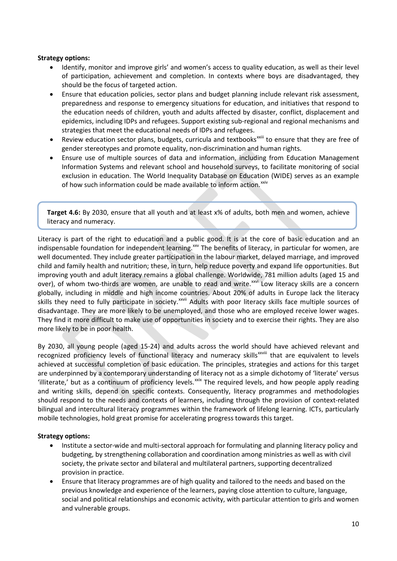#### **Strategy options:**

- Identify, monitor and improve girls' and women's access to quality education, as well as their level of participation, achievement and completion. In contexts where boys are disadvantaged, they should be the focus of targeted action.
- Ensure that education policies, sector plans and budget planning include relevant risk assessment, preparedness and response to emergency situations for education, and initiatives that respond to the education needs of children, youth and adults affected by disaster, conflict, displacement and epidemics, including IDPs and refugees. Support existing sub-regional and regional mechanisms and strategies that meet the educational needs of IDPs and refugees.
- Review education sector plans, budgets, curricula and textbooks<sup>xxiii</sup> to ensure that they are free of gender stereotypes and promote equality, non-discrimination and human rights.
- Ensure use of multiple sources of data and information, including from Education Management Information Systems and relevant school and household surveys, to facilitate monitoring of social exclusion in education. The World Inequality Database on Education (WIDE) serves as an example of how such information could be made available to inform action.<sup>[xxiv](#page-27-22)</sup>

**Target 4.6:** By 2030, ensure that all youth and at least x% of adults, both men and women, achieve literacy and numeracy.

Literacy is part of the right to education and a public good. It is at the core of basic education and an indispensable foundation for independent learning.<sup>[xxv](#page-27-23)</sup> The benefits of literacy, in particular for women, are sk[i](#page-27-25)lls they need to fully participate in society.<sup>xxvii</sup> Adults with poor literacy skills face multiple sources of well documented. They include greater participation in the labour market, delayed marriage, and improved child and family health and nutrition; these, in turn, help reduce poverty and expand life opportunities. But improving youth and adult literacy remains a global challenge. Worldwide, 781 million adults (aged 15 and over), of whom two-thirds are women, are unable to read and write.<sup>[xxvi](#page-27-24)</sup> Low literacy skills are a concern globally, including in middle and high income countries. About 20% of adults in Europe lack the literacy disadvantage. They are more likely to be unemployed, and those who are employed receive lower wages. They find it more difficult to make use of opportunities in society and to exercise their rights. They are also more likely to be in poor health.

By 2030, all young people (aged 15-24) and adults across the world should have achieved relevant and recognized proficiency levels of functional literacy and numeracy skills<sup>xxviii</sup> that are equivalent to levels achieved at successful completion of basic education. The principles, strategies and actions for this target are underpinned by a contemporary understanding of literacy not as a simple dichotomy of 'literate' versus 'illiterate,' but as a continuum of proficiency levels. XXIX The required levels, and how people apply reading and writing skills, depend on specific contexts. Consequently, literacy programmes and methodologies should respond to the needs and contexts of learners, including through the provision of context-related bilingual and intercultural literacy programmes within the framework of lifelong learning. ICTs, particularly mobile technologies, hold great promise for accelerating progress towards this target.

#### **Strategy options:**

- Institute a sector-wide and multi-sectoral approach for formulating and planning literacy policy and budgeting, by strengthening collaboration and coordination among ministries as well as with civil society, the private sector and bilateral and multilateral partners, supporting decentralized provision in practice.
- Ensure that literacy programmes are of high quality and tailored to the needs and based on the previous knowledge and experience of the learners, paying close attention to culture, language, social and political relationships and economic activity, with particular attention to girls and women and vulnerable groups.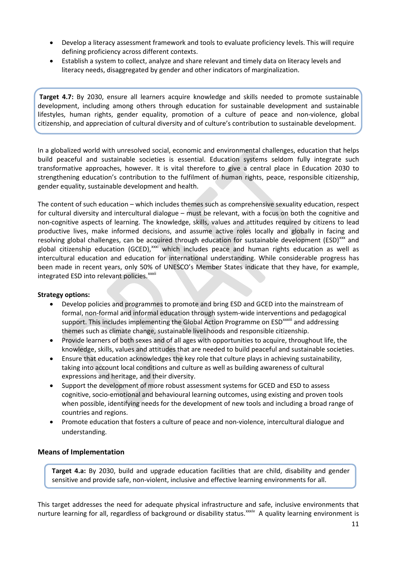- Develop a literacy assessment framework and tools to evaluate proficiency levels. This will require defining proficiency across different contexts.
- Establish a system to collect, analyze and share relevant and timely data on literacy levels and literacy needs, disaggregated by gender and other indicators of marginalization.

**Target 4.7:** By 2030, ensure all learners acquire knowledge and skills needed to promote sustainable development, including among others through education for sustainable development and sustainable lifestyles, human rights, gender equality, promotion of a culture of peace and non-violence, global citizenship, and appreciation of cultural diversity and of culture's contribution to sustainable development.

In a globalized world with unresolved social, economic and environmental challenges, education that helps build peaceful and sustainable societies is essential. Education systems seldom fully integrate such transformative approaches, however. It is vital therefore to give a central place in Education 2030 to strengthening education's contribution to the fulfilment of human rights, peace, responsible citizenship, gender equality, sustainable development and health.

The content of such education – which includes themes such as comprehensive sexuality education, respect for cultural diversity and intercultural dialogue – must be relevant, with a focus on both the cognitive and non-cognitive aspects of learning. The knowledge, skills, values and attitudes required by citizens to lead productive lives, make informed decisions, and assume active roles locally and globally in facing and resolving global challenges, can be acquired through education for sustainable development (ESD)<sup>[xxx](#page-27-27)</sup> and [i](#page-27-29)ntegrated ESD into relevant policies.<sup>xxxii</sup> global citizenship education (GCED),<sup>[xxxi](#page-27-28)</sup> which includes peace and human rights education as well as intercultural education and education for international understanding. While considerable progress has been made in recent years, only 50% of UNESCO's Member States indicate that they have, for example,

#### **Strategy options:**

- Develop policies and programmes to promote and bring ESD and GCED into the mainstream of formal, non-formal and informal education through system-wide interventions and pedagogical support. This includes implementing the Glob[a](#page-27-30)l Action Programme on ESD<sup>xxxiii</sup> and addressing themes such as climate change, sustainable livelihoods and responsible citizenship.
- Provide learners of both sexes and of all ages with opportunities to acquire, throughout life, the knowledge, skills, values and attitudes that are needed to build peaceful and sustainable societies.
- Ensure that education acknowledges the key role that culture plays in achieving sustainability, taking into account local conditions and culture as well as building awareness of cultural expressions and heritage, and their diversity.
- Support the development of more robust assessment systems for GCED and ESD to assess cognitive, socio-emotional and behavioural learning outcomes, using existing and proven tools when possible, identifying needs for the development of new tools and including a broad range of countries and regions.
- Promote education that fosters a culture of peace and non-violence, intercultural dialogue and understanding.

#### **Means of Implementation**

**Target 4.a:** By 2030, build and upgrade education facilities that are child, disability and gender sensitive and provide safe, non-violent, inclusive and effective learning environments for all.

This target addresses the need for adequate physical infrastructure and safe, inclusive environments that nurture learning for all, regardless of background or disability status.<sup>xxxi[v](#page-27-31)</sup> A quality learning environment is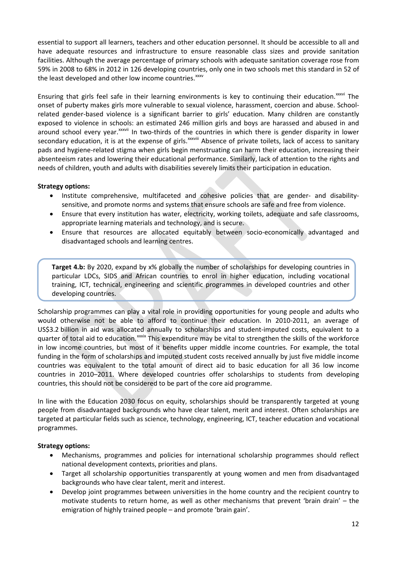essential to support all learners, teachers and other education personnel. It should be accessible to all and have adequate resources and infrastructure to ensure reasonable class sizes and provide sanitation facilities. Although the average percentage of primary schools with adequate sanitation coverage rose from 59% in 2008 to 68% in 2012 in 126 developing countries, only one in two schools met this standard in 52 of the least developed and other low income countries.<sup>[xxxv](#page-27-32)</sup>

Ensur[i](#page-27-33)ng that girls feel safe in their learning environments is key to continuing their education. XXXVI The around school every year.<sup>xxxv[i](#page-27-34)i</sup> In two-thirds of the countries in which there is gender disparity in lower secondary educat[i](#page-27-35)on, it is at the expense of girls.<sup>xxxviii</sup> Absence of private toilets, lack of access to sanitary onset of puberty makes girls more vulnerable to sexual violence, harassment, coercion and abuse. Schoolrelated gender-based violence is a significant barrier to girls' education. Many children are constantly exposed to violence in schools: an estimated 246 million girls and boys are harassed and abused in and pads and hygiene-related stigma when girls begin menstruating can harm their education, increasing their absenteeism rates and lowering their educational performance. Similarly, lack of attention to the rights and needs of children, youth and adults with disabilities severely limits their participation in education.

#### **Strategy options:**

- Institute comprehensive, multifaceted and cohesive policies that are gender- and disabilitysensitive, and promote norms and systems that ensure schools are safe and free from violence.
- Ensure that every institution has water, electricity, working toilets, adequate and safe classrooms, appropriate learning materials and technology, and is secure.
- Ensure that resources are allocated equitably between socio-economically advantaged and disadvantaged schools and learning centres.

**Target 4.b:** By 2020, expand by x% globally the number of scholarships for developing countries in particular LDCs, SIDS and African countries to enrol in higher education, including vocational training, ICT, technical, engineering and scientific programmes in developed countries and other developing countries.

Scholarship programmes can play a vital role in providing opportunities for young people and adults who would otherwise not be able to afford to continue their education. In 2010-2011, an average of US\$3.2 billion in aid was allocated annually to scholarships and student-imputed costs, equivalent to a quarter of total aid to education. xxxix [T](#page-27-36)his expenditure may be vital to strengthen the skills of the workforce in low income countries, but most of it benefits upper middle income countries. For example, the total funding in the form of scholarships and imputed student costs received annually by just five middle income countries was equivalent to the total amount of direct aid to basic education for all 36 low income countries in 2010–2011. Where developed countries offer scholarships to students from developing countries, this should not be considered to be part of the core aid programme.

In line with the Education 2030 focus on equity, scholarships should be transparently targeted at young people from disadvantaged backgrounds who have clear talent, merit and interest. Often scholarships are targeted at particular fields such as science, technology, engineering, ICT, teacher education and vocational programmes.

#### **Strategy options:**

- Mechanisms, programmes and policies for international scholarship programmes should reflect national development contexts, priorities and plans.
- Target all scholarship opportunities transparently at young women and men from disadvantaged backgrounds who have clear talent, merit and interest.
- Develop joint programmes between universities in the home country and the recipient country to motivate students to return home, as well as other mechanisms that prevent 'brain drain' – the emigration of highly trained people – and promote 'brain gain'.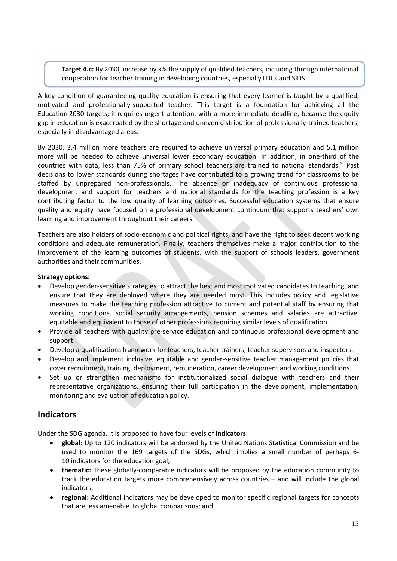**Target 4.c:** By 2030, increase by x% the supply of qualified teachers, including through international cooperation for teacher training in developing countries, especially LDCs and SIDS

A key condition of guaranteeing quality education is ensuring that every learner is taught by a qualified, motivated and professionally-supported teacher. This target is a foundation for achieving all the Education 2030 targets; it requires urgent attention, with a more immediate deadline, because the equity gap in education is exacerbated by the shortage and uneven distribution of professionally-trained teachers, especially in disadvantaged areas.

By 2030, 3.4 million more teachers are required to achieve universal primary education and 5.1 million more will be needed to achieve universal lower secondary education. In addition, in one-third of the countries with data, less than 75% of primary school teachers are trained to national standards.<sup>[xl](#page-27-37)</sup> Past decisions to lower standards during shortages have contributed to a growing trend for classrooms to be staffed by unprepared non-professionals. The absence or inadequacy of continuous professional development and support for teachers and national standards for the teaching profession is a key contributing factor to the low quality of learning outcomes. Successful education systems that ensure quality and equity have focused on a professional development continuum that supports teachers' own learning and improvement throughout their careers.

Teachers are also holders of socio-economic and political rights, and have the right to seek decent working conditions and adequate remuneration. Finally, teachers themselves make a major contribution to the improvement of the learning outcomes of students, with the support of schools leaders, government authorities and their communities.

#### **Strategy options:**

- Develop gender-sensitive strategies to attract the best and most motivated candidates to teaching, and ensure that they are deployed where they are needed most. This includes policy and legislative measures to make the teaching profession attractive to current and potential staff by ensuring that working conditions, social security arrangements, pension schemes and salaries are attractive, equitable and equivalent to those of other professions requiring similar levels of qualification.
- Provide all teachers with quality pre-service education and continuous professional development and support.
- Develop a qualifications framework for teachers, teacher trainers, teacher supervisors and inspectors.
- Develop and implement inclusive, equitable and gender-sensitive teacher management policies that cover recruitment, training, deployment, remuneration, career development and working conditions.
- Set up or strengthen mechanisms for institutionalized social dialogue with teachers and their representative organizations, ensuring their full participation in the development, implementation, monitoring and evaluation of education policy.

## **Indicators**

Under the SDG agenda, it is proposed to have four levels of **indicators**:

- **global:** Up to 120 indicators will be endorsed by the United Nations Statistical Commission and be used to monitor the 169 targets of the SDGs, which implies a small number of perhaps 6- 10 indicators for the education goal;
- **thematic:** These globally-comparable indicators will be proposed by the education community to track the education targets more comprehensively across countries – and will include the global indicators;
- **regional:** Additional indicators may be developed to monitor specific regional targets for concepts that are less amenable to global comparisons; and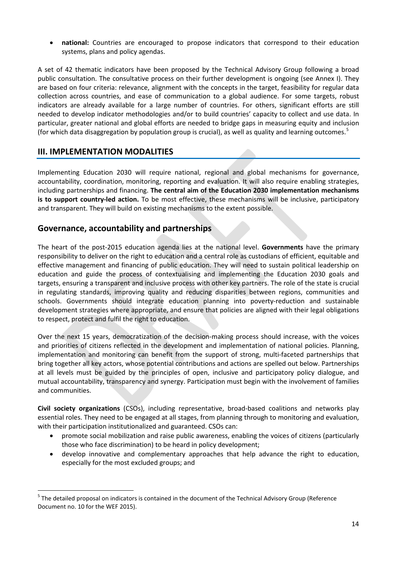• **national:** Countries are encouraged to propose indicators that correspond to their education systems, plans and policy agendas.

A set of 42 thematic indicators have been proposed by the Technical Advisory Group following a broad public consultation. The consultative process on their further development is ongoing (see Annex I). They are based on four criteria: relevance, alignment with the concepts in the target, feasibility for regular data collection across countries, and ease of communication to a global audience. For some targets, robust indicators are already available for a large number of countries. For others, significant efforts are still needed to develop indicator methodologies and/or to build countries' capacity to collect and use data. In particular, greater national and global efforts are needed to bridge gaps in measuring equity and inclusion (for which data disaggregation by population group is crucial), as well as quality and learning outcomes. $5$ 

## **III. IMPLEMENTATION MODALITIES**

Implementing Education 2030 will require national, regional and global mechanisms for governance, accountability, coordination, monitoring, reporting and evaluation. It will also require enabling strategies, including partnerships and financing. **The central aim of the Education 2030 implementation mechanisms is to support country-led action.** To be most effective, these mechanisms will be inclusive, participatory and transparent. They will build on existing mechanisms to the extent possible.

## **Governance, accountability and partnerships**

The heart of the post-2015 education agenda lies at the national level. **Governments** have the primary responsibility to deliver on the right to education and a central role as custodians of efficient, equitable and effective management and financing of public education. They will need to sustain political leadership on education and guide the process of contextualising and implementing the Education 2030 goals and targets, ensuring a transparent and inclusive process with other key partners. The role of the state is crucial in regulating standards, improving quality and reducing disparities between regions, communities and schools. Governments should integrate education planning into poverty-reduction and sustainable development strategies where appropriate, and ensure that policies are aligned with their legal obligations to respect, protect and fulfil the right to education.

Over the next 15 years, democratization of the decision-making process should increase, with the voices and priorities of citizens reflected in the development and implementation of national policies. Planning, implementation and monitoring can benefit from the support of strong, multi-faceted partnerships that bring together all key actors, whose potential contributions and actions are spelled out below. Partnerships at all levels must be guided by the principles of open, inclusive and participatory policy dialogue, and mutual accountability, transparency and synergy. Participation must begin with the involvement of families and communities.

**Civil society organizations** (CSOs), including representative, broad-based coalitions and networks play essential roles. They need to be engaged at all stages, from planning through to monitoring and evaluation, with their participation institutionalized and guaranteed. CSOs can:

- promote social mobilization and raise public awareness, enabling the voices of citizens (particularly those who face discrimination) to be heard in policy development;
- develop innovative and complementary approaches that help advance the right to education, especially for the most excluded groups; and

<span id="page-15-0"></span><sup>&</sup>lt;sup>5</sup> The detailed proposal on indicators is contained in the document of the Technical Advisory Group (Reference Document no. 10 for the WEF 2015).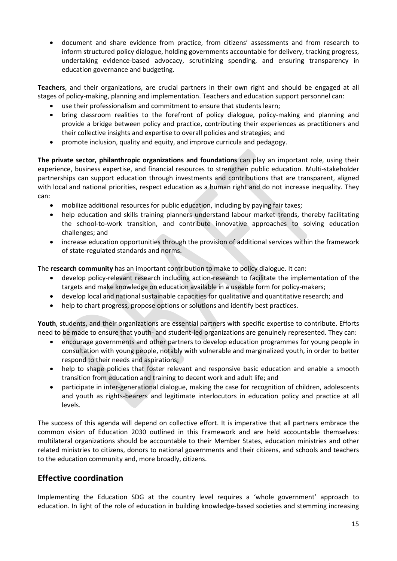• document and share evidence from practice, from citizens' assessments and from research to inform structured policy dialogue, holding governments accountable for delivery, tracking progress, undertaking evidence-based advocacy, scrutinizing spending, and ensuring transparency in education governance and budgeting.

**Teachers**, and their organizations, are crucial partners in their own right and should be engaged at all stages of policy-making, planning and implementation. Teachers and education support personnel can:

- use their professionalism and commitment to ensure that students learn;
- bring classroom realities to the forefront of policy dialogue, policy-making and planning and provide a bridge between policy and practice, contributing their experiences as practitioners and their collective insights and expertise to overall policies and strategies; and
- promote inclusion, quality and equity, and improve curricula and pedagogy.

**The private sector, philanthropic organizations and foundations** can play an important role, using their experience, business expertise, and financial resources to strengthen public education. Multi-stakeholder partnerships can support education through investments and contributions that are transparent, aligned with local and national priorities, respect education as a human right and do not increase inequality. They can:

- mobilize additional resources for public education, including by paying fair taxes;
- help education and skills training planners understand labour market trends, thereby facilitating the school-to-work transition, and contribute innovative approaches to solving education challenges; and
- increase education opportunities through the provision of additional services within the framework of state-regulated standards and norms.

The **research community** has an important contribution to make to policy dialogue. It can:

- develop policy-relevant research including action-research to facilitate the implementation of the targets and make knowledge on education available in a useable form for policy-makers;
- develop local and national sustainable capacities for qualitative and quantitative research; and
- help to chart progress, propose options or solutions and identify best practices.

**Youth**, students, and their organizations are essential partners with specific expertise to contribute. Efforts need to be made to ensure that youth- and student-led organizations are genuinely represented. They can:

- encourage governments and other partners to develop education programmes for young people in consultation with young people, notably with vulnerable and marginalized youth, in order to better respond to their needs and aspirations;
- help to shape policies that foster relevant and responsive basic education and enable a smooth transition from education and training to decent work and adult life; and
- participate in inter-generational dialogue, making the case for recognition of children, adolescents and youth as rights-bearers and legitimate interlocutors in education policy and practice at all levels.

The success of this agenda will depend on collective effort. It is imperative that all partners embrace the common vision of Education 2030 outlined in this Framework and are held accountable themselves: multilateral organizations should be accountable to their Member States, education ministries and other related ministries to citizens, donors to national governments and their citizens, and schools and teachers to the education community and, more broadly, citizens.

## **Effective coordination**

Implementing the Education SDG at the country level requires a 'whole government' approach to education. In light of the role of education in building knowledge-based societies and stemming increasing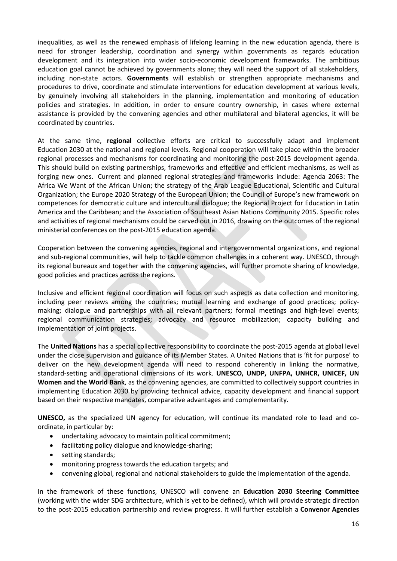inequalities, as well as the renewed emphasis of lifelong learning in the new education agenda, there is need for stronger leadership, coordination and synergy within governments as regards education development and its integration into wider socio-economic development frameworks. The ambitious education goal cannot be achieved by governments alone; they will need the support of all stakeholders, including non-state actors. **Governments** will establish or strengthen appropriate mechanisms and procedures to drive, coordinate and stimulate interventions for education development at various levels, by genuinely involving all stakeholders in the planning, implementation and monitoring of education policies and strategies. In addition, in order to ensure country ownership, in cases where external assistance is provided by the convening agencies and other multilateral and bilateral agencies, it will be coordinated by countries.

At the same time, **regional** collective efforts are critical to successfully adapt and implement Education 2030 at the national and regional levels. Regional cooperation will take place within the broader regional processes and mechanisms for coordinating and monitoring the post-2015 development agenda. This should build on existing partnerships, frameworks and effective and efficient mechanisms, as well as forging new ones. Current and planned regional strategies and frameworks include: Agenda 2063: The Africa We Want of the African Union; the strategy of the Arab League Educational, Scientific and Cultural Organization; the Europe 2020 Strategy of the European Union; the Council of Europe's new framework on competences for democratic culture and intercultural dialogue; the Regional Project for Education in Latin America and the Caribbean; and the Association of Southeast Asian Nations Community 2015. Specific roles and activities of regional mechanisms could be carved out in 2016, drawing on the outcomes of the regional ministerial conferences on the post-2015 education agenda.

Cooperation between the convening agencies, regional and intergovernmental organizations, and regional and sub-regional communities, will help to tackle common challenges in a coherent way. UNESCO, through its regional bureaux and together with the convening agencies, will further promote sharing of knowledge, good policies and practices across the regions.

Inclusive and efficient regional coordination will focus on such aspects as data collection and monitoring, including peer reviews among the countries; mutual learning and exchange of good practices; policymaking; dialogue and partnerships with all relevant partners; formal meetings and high-level events; regional communication strategies; advocacy and resource mobilization; capacity building and implementation of joint projects.

The **United Nations** has a special collective responsibility to coordinate the post-2015 agenda at global level under the close supervision and guidance of its Member States. A United Nations that is 'fit for purpose' to deliver on the new development agenda will need to respond coherently in linking the normative, standard-setting and operational dimensions of its work. **UNESCO, UNDP, UNFPA, UNHCR, UNICEF, UN Women and the World Bank**, as the convening agencies, are committed to collectively support countries in implementing Education 2030 by providing technical advice, capacity development and financial support based on their respective mandates, comparative advantages and complementarity.

**UNESCO,** as the specialized UN agency for education, will continue its mandated role to lead and coordinate, in particular by:

- undertaking advocacy to maintain political commitment;
- facilitating policy dialogue and knowledge-sharing;
- setting standards;
- monitoring progress towards the education targets; and
- convening global, regional and national stakeholders to guide the implementation of the agenda.

In the framework of these functions, UNESCO will convene an **Education 2030 Steering Committee** (working with the wider SDG architecture, which is yet to be defined), which will provide strategic direction to the post-2015 education partnership and review progress. It will further establish a **Convenor Agencies**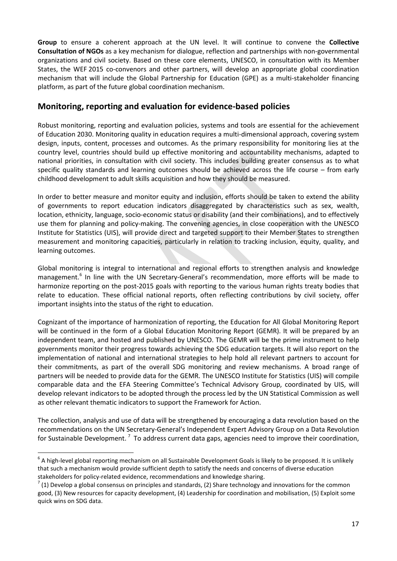**Group** to ensure a coherent approach at the UN level. It will continue to convene the **Collective Consultation of NGOs** as a key mechanism for dialogue, reflection and partnerships with non-governmental organizations and civil society. Based on these core elements, UNESCO, in consultation with its Member States, the WEF 2015 co-convenors and other partners, will develop an appropriate global coordination mechanism that will include the Global Partnership for Education (GPE) as a multi-stakeholder financing platform, as part of the future global coordination mechanism.

## **Monitoring, reporting and evaluation for evidence-based policies**

Robust monitoring, reporting and evaluation policies, systems and tools are essential for the achievement of Education 2030. Monitoring quality in education requires a multi-dimensional approach, covering system design, inputs, content, processes and outcomes. As the primary responsibility for monitoring lies at the country level, countries should build up effective monitoring and accountability mechanisms, adapted to national priorities, in consultation with civil society. This includes building greater consensus as to what specific quality standards and learning outcomes should be achieved across the life course – from early childhood development to adult skills acquisition and how they should be measured.

In order to better measure and monitor equity and inclusion, efforts should be taken to extend the ability of governments to report education indicators disaggregated by characteristics such as sex, wealth, location, ethnicity, language, socio-economic status or disability (and their combinations), and to effectively use them for planning and policy-making. The convening agencies, in close cooperation with the UNESCO Institute for Statistics (UIS), will provide direct and targeted support to their Member States to strengthen measurement and monitoring capacities, particularly in relation to tracking inclusion, equity, quality, and learning outcomes.

Global monitoring is integral to international and regional efforts to strengthen analysis and knowledge management.<sup>[6](#page-18-0)</sup> In line with the UN Secretary-General's recommendation, more efforts will be made to harmonize reporting on the post-2015 goals with reporting to the various human rights treaty bodies that relate to education. These official national reports, often reflecting contributions by civil society, offer important insights into the status of the right to education.

Cognizant of the importance of harmonization of reporting, the Education for All Global Monitoring Report will be continued in the form of a Global Education Monitoring Report (GEMR). It will be prepared by an independent team, and hosted and published by UNESCO. The GEMR will be the prime instrument to help governments monitor their progress towards achieving the SDG education targets. It will also report on the implementation of national and international strategies to help hold all relevant partners to account for their commitments, as part of the overall SDG monitoring and review mechanisms. A broad range of partners will be needed to provide data for the GEMR. The UNESCO Institute for Statistics (UIS) will compile comparable data and the EFA Steering Committee's Technical Advisory Group, coordinated by UIS, will develop relevant indicators to be adopted through the process led by the UN Statistical Commission as well as other relevant thematic indicators to support the Framework for Action.

The collection, analysis and use of data will be strengthened by encouraging a data revolution based on the recommendations on the UN Secretary-General's Independent Expert Advisory Group on a Data Revolution for Sustainable Development.<sup>[7](#page-18-1)</sup> To address current data gaps, agencies need to improve their coordination,

<span id="page-18-0"></span> $6$  A high-level global reporting mechanism on all Sustainable Development Goals is likely to be proposed. It is unlikely that such a mechanism would provide sufficient depth to satisfy the needs and concerns of diverse education stakeholders for policy-related evidence, recommendations and knowledge sharing.<br><sup>7</sup> (1) Develop a global consensus on principles and standards, (2) Share technology and innovations for the common

<span id="page-18-1"></span>good, (3) New resources for capacity development, (4) Leadership for coordination and mobilisation, (5) Exploit some quick wins on SDG data.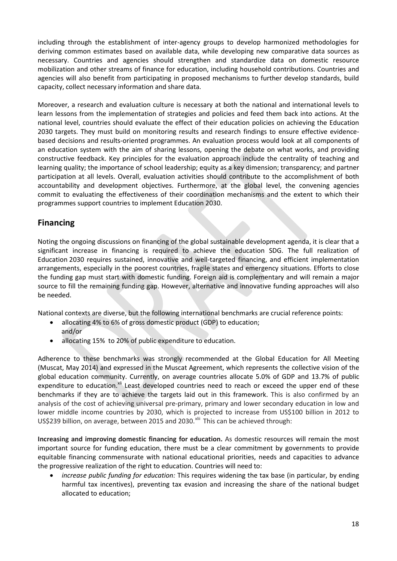including through the establishment of inter-agency groups to develop harmonized methodologies for deriving common estimates based on available data, while developing new comparative data sources as necessary. Countries and agencies should strengthen and standardize data on domestic resource mobilization and other streams of finance for education, including household contributions. Countries and agencies will also benefit from participating in proposed mechanisms to further develop standards, build capacity, collect necessary information and share data.

Moreover, a research and evaluation culture is necessary at both the national and international levels to learn lessons from the implementation of strategies and policies and feed them back into actions. At the national level, countries should evaluate the effect of their education policies on achieving the Education 2030 targets. They must build on monitoring results and research findings to ensure effective evidencebased decisions and results-oriented programmes. An evaluation process would look at all components of an education system with the aim of sharing lessons, opening the debate on what works, and providing constructive feedback. Key principles for the evaluation approach include the centrality of teaching and learning quality; the importance of school leadership; equity as a key dimension; transparency; and partner participation at all levels. Overall, evaluation activities should contribute to the accomplishment of both accountability and development objectives. Furthermore, at the global level, the convening agencies commit to evaluating the effectiveness of their coordination mechanisms and the extent to which their programmes support countries to implement Education 2030.

## **Financing**

Noting the ongoing discussions on financing of the global sustainable development agenda, it is clear that a significant increase in financing is required to achieve the education SDG. The full realization of Education 2030 requires sustained, innovative and well-targeted financing, and efficient implementation arrangements, especially in the poorest countries, fragile states and emergency situations. Efforts to close the funding gap must start with domestic funding. Foreign aid is complementary and will remain a major source to fill the remaining funding gap. However, alternative and innovative funding approaches will also be needed.

National contexts are diverse, but the following international benchmarks are crucial reference points:

- allocating 4% to 6% of gross domestic product (GDP) to education; and/or
- allocating 15% to 20% of public expenditure to education.

Adherence to these benchmarks was strongly recommended at the Global Education for All Meeting (Muscat, May 2014) and expressed in the Muscat Agreement, which represents the collective vision of the global education community. Currently, on average countries allocate 5.0% of GDP and 13.7% of public expenditure to education.<sup>[xli](#page-27-38)</sup> Least developed countries need to reach or exceed the upper end of these benchmarks if they are to achieve the targets laid out in this framework. This is also confirmed by an analysis of the cost of achieving universal pre-primary, primary and lower secondary education in low and lower middle income countries by 2030, which is projected to increase from US\$100 billion in 2012 to US\$239 billion, on average, between 2015 and 2030.<sup>[xlii](#page-27-39)</sup> This can be achieved through:

**Increasing and improving domestic financing for education.** As domestic resources will remain the most important source for funding education, there must be a clear commitment by governments to provide equitable financing commensurate with national educational priorities, needs and capacities to advance the progressive realization of the right to education. Countries will need to:

• *increase public funding for education:* This requires widening the tax base (in particular, by ending harmful tax incentives), preventing tax evasion and increasing the share of the national budget allocated to education;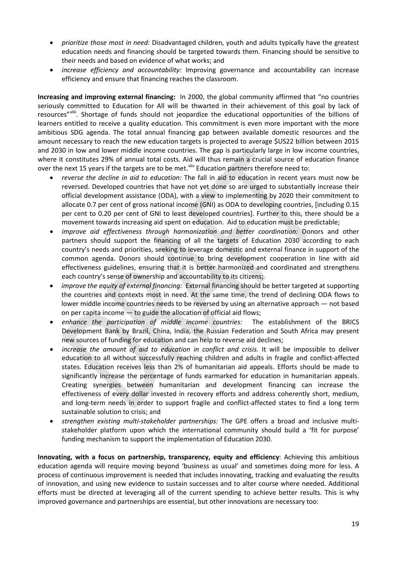- *prioritize those most in need:* Disadvantaged children, youth and adults typically have the greatest education needs and financing should be targeted towards them. Financing should be sensitive to their needs and based on evidence of what works; and
- *increase efficiency and accountability:* Improving governance and accountability can increase efficiency and ensure that financing reaches the classroom.

**Increasing and improving external financing:** In 2000, the global community affirmed that "no countries seriously committed to Education for All will be thwarted in their achievement of this goal by lack of resources"xliii. Shortage of funds should not jeopardize [the](#page-27-40) educational opportunities of the billions of learners entitled to receive a quality education. This commitment is even more important with the more ambitious SDG agenda. The total annual financing gap between available domestic resources and the amount necessary to reach the new education targets is projected to average \$US22 billion between 2015 and 2030 in low and lower middle income countries. The gap is particularly large in low income countries, where it constitutes 29% of annual total costs. Aid will thus remain a crucial source of education finance over the next 15 years if the targets are to be met.<sup>[xliv](#page-27-41)</sup> Education partners therefore need to:

- *reverse the decline in aid to education:* The fall in aid to education in recent years must now be reversed. Developed countries that have not yet done so are urged to substantially increase their official development assistance (ODA), with a view to implementing by 2020 their commitment to allocate 0.7 per cent of gross national income (GNI) as ODA to developing countries, [including 0.15 per cent to 0.20 per cent of GNI to least developed countries]. Further to this, there should be a movement towards increasing aid spent on education. Aid to education must be predictable;
- *improve aid effectiveness through harmonization and better coordination:* Donors and other partners should support the financing of all the targets of Education 2030 according to each country's needs and priorities, seeking to leverage domestic and external finance in support of the common agenda. Donors should continue to bring development cooperation in line with aid effectiveness guidelines, ensuring that it is better harmonized and coordinated and strengthens each country's sense of ownership and accountability to its citizens;
- *improve the equity of external financing:* External financing should be better targeted at supporting the countries and contexts most in need. At the same time, the trend of declining ODA flows to lower middle income countries needs to be reversed by using an alternative approach — not based on per capita income — to guide the allocation of official aid flows;
- *enhance the participation of middle income countries:* The establishment of the BRICS Development Bank by Brazil, China, India, the Russian Federation and South Africa may present new sources of funding for education and can help to reverse aid declines;
- increase the amount of aid to education in conflict and crisis. It will be impossible to deliver education to all without successfully reaching children and adults in fragile and conflict-affected states. Education receives less than 2% of humanitarian aid appeals. Efforts should be made to significantly increase the percentage of funds earmarked for education in humanitarian appeals. Creating synergies between humanitarian and development financing can increase the effectiveness of every dollar invested in recovery efforts and address coherently short, medium, and long-term needs in order to support fragile and conflict-affected states to find a long term sustainable solution to crisis; and
- *strengthen existing multi-stakeholder partnerships:* The GPE offers a broad and inclusive multistakeholder platform upon which the international community should build a 'fit for purpose' funding mechanism to support the implementation of Education 2030.

**Innovating, with a focus on partnership, transparency, equity and efficiency**: Achieving this ambitious education agenda will require moving beyond 'business as usual' and sometimes doing more for less. A process of continuous improvement is needed that includes innovating, tracking and evaluating the results of innovation, and using new evidence to sustain successes and to alter course where needed. Additional efforts must be directed at leveraging all of the current spending to achieve better results. This is why improved governance and partnerships are essential, but other innovations are necessary too: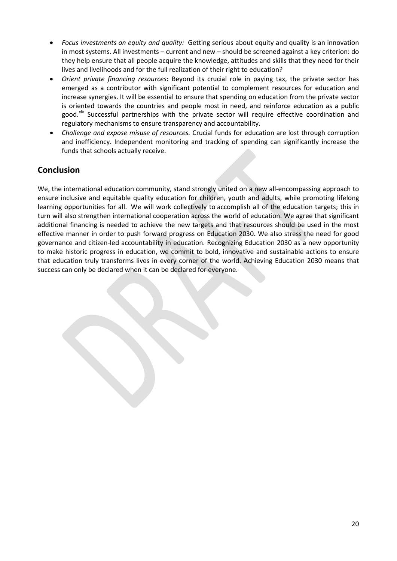- *Focus investments on equity and quality:* Getting serious about equity and quality is an innovation in most systems. All investments – current and new – should be screened against a key criterion: do they help ensure that all people acquire the knowledge, attitudes and skills that they need for their lives and livelihoods and for the full realization of their right to education?
- *Orient private financing resources***:** Beyond its crucial role in paying tax, the private sector has emerged as a contributor with significant potential to complement resources for education and increase synergies. It will be essential to ensure that spending on education from the private sector is oriented towards the countries and people most in need, and reinforce education as a public good.<sup>[xlv](#page-27-42)</sup> Successful partnerships with the private sector will require effective coordination and regulatory mechanisms to ensure transparency and accountability.
- *Challenge and expose misuse of resources.* Crucial funds for education are lost through corruption and inefficiency. Independent monitoring and tracking of spending can significantly increase the funds that schools actually receive.

## **Conclusion**

We, the international education community, stand strongly united on a new all-encompassing approach to ensure inclusive and equitable quality education for children, youth and adults, while promoting lifelong learning opportunities for all. We will work collectively to accomplish all of the education targets; this in turn will also strengthen international cooperation across the world of education. We agree that significant additional financing is needed to achieve the new targets and that resources should be used in the most effective manner in order to push forward progress on Education 2030. We also stress the need for good governance and citizen-led accountability in education. Recognizing Education 2030 as a new opportunity to make historic progress in education, we commit to bold, innovative and sustainable actions to ensure that education truly transforms lives in every corner of the world. Achieving Education 2030 means that success can only be declared when it can be declared for everyone.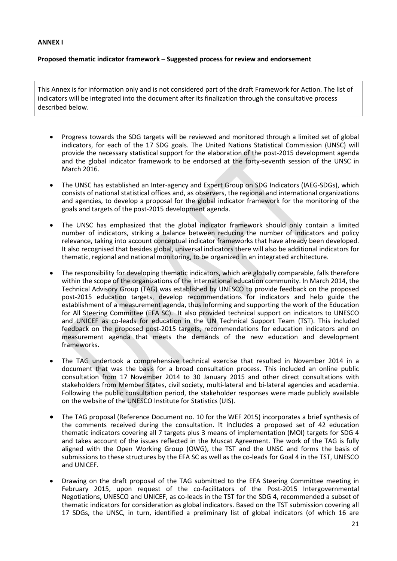#### **Proposed thematic indicator framework – Suggested process for review and endorsement**

This Annex is for information only and is not considered part of the draft Framework for Action. The list of indicators will be integrated into the document after its finalization through the consultative process described below.

- Progress towards the SDG targets will be reviewed and monitored through a limited set of global indicators, for each of the 17 SDG goals. The United Nations Statistical Commission (UNSC) will provide the necessary statistical support for the elaboration of the post-2015 development agenda and the global indicator framework to be endorsed at the forty-seventh session of the UNSC in March 2016.
- The UNSC has established an Inter-agency and Expert Group on SDG Indicators (IAEG-SDGs), which consists of national statistical offices and, as observers, the regional and international organizations and agencies, to develop a proposal for the global indicator framework for the monitoring of the goals and targets of the post-2015 development agenda.
- The UNSC has emphasized that the global indicator framework should only contain a limited number of indicators, striking a balance between reducing the number of indicators and policy relevance, taking into account conceptual indicator frameworks that have already been developed. It also recognised that besides global, universal indicators there will also be additional indicators for thematic, regional and national monitoring, to be organized in an integrated architecture.
- The responsibility for developing thematic indicators, which are globally comparable, falls therefore within the scope of the organizations of the international education community. In March 2014, the Technical Advisory Group (TAG) was established by UNESCO to provide feedback on the proposed post-2015 education targets, develop recommendations for indicators and help guide the establishment of a measurement agenda, thus informing and supporting the work of the Education for All Steering Committee (EFA SC). It also provided technical support on indicators to UNESCO and UNICEF as co-leads for education in the UN Technical Support Team (TST). This included feedback on the proposed post-2015 targets, recommendations for education indicators and on measurement agenda that meets the demands of the new education and development frameworks.
- The TAG undertook a comprehensive technical exercise that resulted in November 2014 in a document that was the basis for a broad consultation process. This included an online public consultation from 17 November 2014 to 30 January 2015 and other direct consultations with stakeholders from Member States, civil society, multi-lateral and bi-lateral agencies and academia. Following the public consultation period, the stakeholder responses were made publicly available on the website of the UNESCO Institute for Statistics (UIS).
- The TAG proposal (Reference Document no. 10 for the WEF 2015) incorporates a brief synthesis of the comments received during the consultation. It includes a proposed set of 42 education thematic indicators covering all 7 targets plus 3 means of implementation (MOI) targets for SDG 4 and takes account of the issues reflected in the Muscat Agreement. The work of the TAG is fully aligned with the Open Working Group (OWG), the TST and the UNSC and forms the basis of submissions to these structures by the EFA SC as well as the co-leads for Goal 4 in the TST, UNESCO and UNICEF.
- Drawing on the draft proposal of the TAG submitted to the EFA Steering Committee meeting in February 2015, upon request of the co-facilitators of the Post-2015 Intergovernmental Negotiations, UNESCO and UNICEF, as co-leads in the TST for the SDG 4, recommended a subset of thematic indicators for consideration as global indicators. Based on the TST submission covering all 17 SDGs, the UNSC, in turn, identified a preliminary list of global indicators (of which 16 are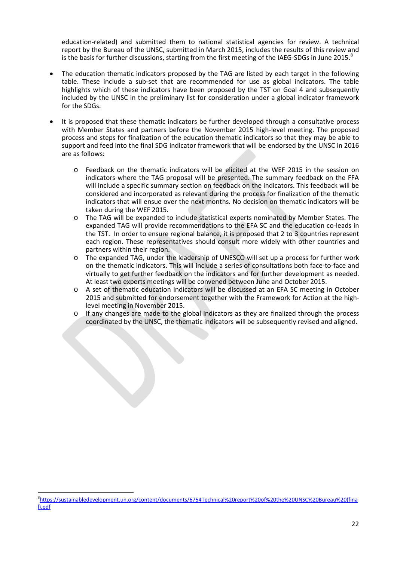education-related) and submitted them to national statistical agencies for review. A technical report by the Bureau of the UNSC, submitted in March 2015, includes the results of this review and is the basis for further discussions, starting from the first meeting of the IAEG-SDGs in June 2015. $8$ 

- The education thematic indicators proposed by the TAG are listed by each target in the following table. These include a sub-set that are recommended for use as global indicators. The table highlights which of these indicators have been proposed by the TST on Goal 4 and subsequently included by the UNSC in the preliminary list for consideration under a global indicator framework for the SDGs.
- It is proposed that these thematic indicators be further developed through a consultative process with Member States and partners before the November 2015 high-level meeting. The proposed process and steps for finalization of the education thematic indicators so that they may be able to support and feed into the final SDG indicator framework that will be endorsed by the UNSC in 2016 are as follows:
	- o Feedback on the thematic indicators will be elicited at the WEF 2015 in the session on indicators where the TAG proposal will be presented. The summary feedback on the FFA will include a specific summary section on feedback on the indicators. This feedback will be considered and incorporated as relevant during the process for finalization of the thematic indicators that will ensue over the next months. No decision on thematic indicators will be taken during the WEF 2015.
	- o The TAG will be expanded to include statistical experts nominated by Member States. The expanded TAG will provide recommendations to the EFA SC and the education co-leads in the TST. In order to ensure regional balance, it is proposed that 2 to 3 countries represent each region. These representatives should consult more widely with other countries and partners within their region.
	- o The expanded TAG, under the leadership of UNESCO will set up a process for further work on the thematic indicators. This will include a series of consultations both face-to-face and virtually to get further feedback on the indicators and for further development as needed. At least two experts meetings will be convened between June and October 2015.
	- o A set of thematic education indicators will be discussed at an EFA SC meeting in October 2015 and submitted for endorsement together with the Framework for Action at the highlevel meeting in November 2015.
	- If any changes are made to the global indicators as they are finalized through the process coordinated by the UNSC, the thematic indicators will be subsequently revised and aligned.

<span id="page-23-0"></span><sup>-&</sup>lt;br>8 [https://sustainabledevelopment.un.org/content/documents/6754Technical%20report%20of%20the%20UNSC%20Bureau%20\(fina](https://sustainabledevelopment.un.org/content/documents/6754Technical%20report%20of%20the%20UNSC%20Bureau%20(final).pdf) [l\).pdf](https://sustainabledevelopment.un.org/content/documents/6754Technical%20report%20of%20the%20UNSC%20Bureau%20(final).pdf)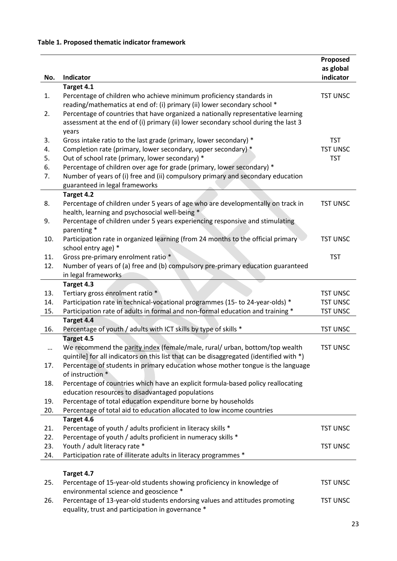|     |                                                                                                     | Proposed<br>as global |
|-----|-----------------------------------------------------------------------------------------------------|-----------------------|
| No. | <b>Indicator</b>                                                                                    | indicator             |
|     | Target 4.1                                                                                          |                       |
| 1.  | Percentage of children who achieve minimum proficiency standards in                                 | <b>TST UNSC</b>       |
|     | reading/mathematics at end of: (i) primary (ii) lower secondary school *                            |                       |
| 2.  | Percentage of countries that have organized a nationally representative learning                    |                       |
|     | assessment at the end of (i) primary (ii) lower secondary school during the last 3                  |                       |
|     | years                                                                                               |                       |
| 3.  | Gross intake ratio to the last grade (primary, lower secondary) *                                   | <b>TST</b>            |
| 4.  | Completion rate (primary, lower secondary, upper secondary) *                                       | <b>TST UNSC</b>       |
| 5.  | Out of school rate (primary, lower secondary) *                                                     | <b>TST</b>            |
| 6.  | Percentage of children over age for grade (primary, lower secondary) *                              |                       |
| 7.  | Number of years of (i) free and (ii) compulsory primary and secondary education                     |                       |
|     | guaranteed in legal frameworks                                                                      |                       |
| 8.  | Target 4.2<br>Percentage of children under 5 years of age who are developmentally on track in       | <b>TST UNSC</b>       |
|     | health, learning and psychosocial well-being *                                                      |                       |
| 9.  | Percentage of children under 5 years experiencing responsive and stimulating                        |                       |
|     | parenting *                                                                                         |                       |
| 10. | Participation rate in organized learning (from 24 months to the official primary                    | <b>TST UNSC</b>       |
|     | school entry age) *                                                                                 |                       |
| 11. | Gross pre-primary enrolment ratio *                                                                 | <b>TST</b>            |
| 12. | Number of years of (a) free and (b) compulsory pre-primary education guaranteed                     |                       |
|     | in legal frameworks                                                                                 |                       |
|     | Target 4.3                                                                                          |                       |
| 13. | Tertiary gross enrolment ratio *                                                                    | <b>TST UNSC</b>       |
| 14. | Participation rate in technical-vocational programmes (15- to 24-year-olds) *                       | <b>TST UNSC</b>       |
| 15. | Participation rate of adults in formal and non-formal education and training *                      | <b>TST UNSC</b>       |
|     | Target 4.4                                                                                          |                       |
| 16. | Percentage of youth / adults with ICT skills by type of skills *                                    | <b>TST UNSC</b>       |
|     | Target 4.5                                                                                          |                       |
|     | We recommend the parity index (female/male, rural/ urban, bottom/top wealth                         | <b>TST UNSC</b>       |
|     | quintile] for all indicators on this list that can be disaggregated (identified with *)             |                       |
| 17. | Percentage of students in primary education whose mother tongue is the language<br>of instruction * |                       |
| 18. | Percentage of countries which have an explicit formula-based policy reallocating                    |                       |
|     | education resources to disadvantaged populations                                                    |                       |
| 19. | Percentage of total education expenditure borne by households                                       |                       |
| 20. | Percentage of total aid to education allocated to low income countries                              |                       |
|     | Target 4.6                                                                                          |                       |
| 21. | Percentage of youth / adults proficient in literacy skills *                                        | <b>TST UNSC</b>       |
| 22. | Percentage of youth / adults proficient in numeracy skills *                                        |                       |
| 23. | Youth / adult literacy rate *                                                                       | <b>TST UNSC</b>       |
| 24. | Participation rate of illiterate adults in literacy programmes *                                    |                       |
|     |                                                                                                     |                       |
|     | Target 4.7                                                                                          |                       |
| 25. | Percentage of 15-year-old students showing proficiency in knowledge of                              | <b>TST UNSC</b>       |
|     | environmental science and geoscience *                                                              |                       |
| 26. | Percentage of 13-year-old students endorsing values and attitudes promoting                         | <b>TST UNSC</b>       |
|     | equality, trust and participation in governance *                                                   |                       |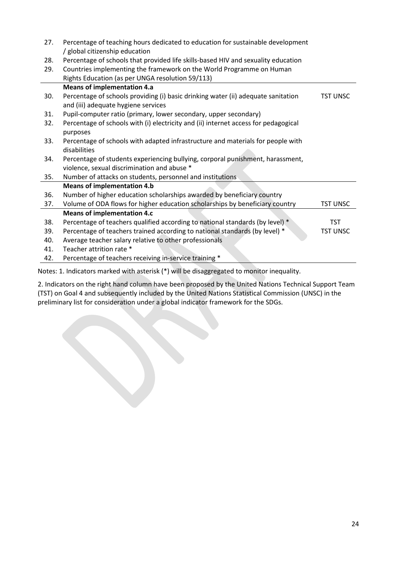| 27. | Percentage of teaching hours dedicated to education for sustainable development                                          |                 |
|-----|--------------------------------------------------------------------------------------------------------------------------|-----------------|
| 28. | / global citizenship education<br>Percentage of schools that provided life skills-based HIV and sexuality education      |                 |
| 29. | Countries implementing the framework on the World Programme on Human                                                     |                 |
|     | Rights Education (as per UNGA resolution 59/113)                                                                         |                 |
|     | <b>Means of implementation 4.a</b>                                                                                       |                 |
|     |                                                                                                                          |                 |
| 30. | Percentage of schools providing (i) basic drinking water (ii) adequate sanitation<br>and (iii) adequate hygiene services | <b>TST UNSC</b> |
| 31. | Pupil-computer ratio (primary, lower secondary, upper secondary)                                                         |                 |
| 32. | Percentage of schools with (i) electricity and (ii) internet access for pedagogical<br>purposes                          |                 |
| 33. | Percentage of schools with adapted infrastructure and materials for people with<br>disabilities                          |                 |
| 34. | Percentage of students experiencing bullying, corporal punishment, harassment,                                           |                 |
|     | violence, sexual discrimination and abuse *                                                                              |                 |
| 35. | Number of attacks on students, personnel and institutions                                                                |                 |
|     | <b>Means of implementation 4.b</b>                                                                                       |                 |
| 36. | Number of higher education scholarships awarded by beneficiary country                                                   |                 |
| 37. | Volume of ODA flows for higher education scholarships by beneficiary country                                             | <b>TST UNSC</b> |
|     | <b>Means of implementation 4.c</b>                                                                                       |                 |
| 38. | Percentage of teachers qualified according to national standards (by level) *                                            | <b>TST</b>      |
| 39. | Percentage of teachers trained according to national standards (by level) *                                              | <b>TST UNSC</b> |
| 40. | Average teacher salary relative to other professionals                                                                   |                 |
| 41. | Teacher attrition rate *                                                                                                 |                 |
| 42. | Percentage of teachers receiving in-service training *                                                                   |                 |
|     | Notes: 1. Indicators marked with asterisk (*) will be disaggregated to monitor inequality.                               |                 |

2. Indicators on the right hand column have been proposed by the United Nations Technical Support Team (TST) on Goal 4 and subsequently included by the United Nations Statistical Commission (UNSC) in the preliminary list for consideration under a global indicator framework for the SDGs.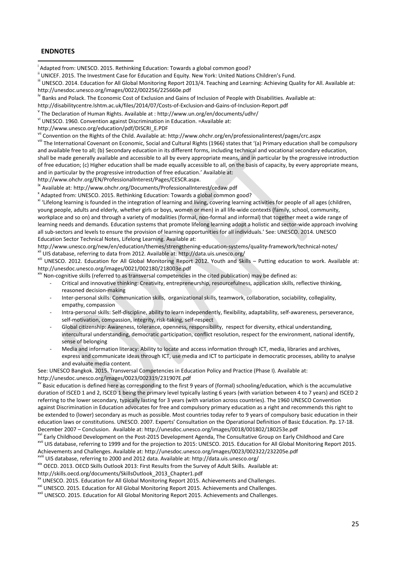#### **ENDNOTES**

i

<sup>i</sup> Adapted from: UNESCO. 2015. Rethinking Education: Towards a global common good?<br><sup>ii</sup> UNICEF. 2015. The Investment Case for Education and Equity. New York: United Nations Children's Fund.<br><sup>III</sup> UNESCO. 2014. Education f http://unesdoc.unesco.org/images/0022/002256/225660e.pdf

<sup>iv</sup> Banks and Polack. The Economic Cost of Exclusion and Gains of Inclusion of People with Disabilities. Available at:

http://disabilitycentre.lshtm.ac.uk/files/2014/07/Costs-of-Exclusion-and-Gains-of-Inclusion-Report.pdf<br>
<sup>v</sup> The Declaration of Human Rights. Available at : http://www.un.org/en/documents/udhr/<br>
<sup>vi</sup> UNESCO. 1960. Conventio

http://www.unesco.org/education/pdf/DISCRI\_E.PDF<br><sup>vii</sup> Convention on the Rights of the Child. Available at: http://www.ohchr.org/en/professionalinterest/pages/crc.aspx

The International Covenant on Economic, Social and Cultural Rights (1966) states that '(a) Primary education shall be compulsory and available free to all; (b) Secondary education in its different forms, including technical and vocational secondary education, shall be made generally available and accessible to all by every appropriate means, and in particular by the progressive introduction of free education; (c) Higher education shall be made equally accessible to all, on the basis of capacity, by every appropriate means, and in particular by the progressive introduction of free education.' Available at:<br>http://www.ohchr.org/EN/ProfessionalInterest/Pages/CESCR.aspx.

<sup>ix</sup> Available at: http://www.ohchr.org/Documents/ProfessionalInterest/cedaw.pdf<br><sup>\*</sup> Adapted from: UNESCO. 2015. Rethinking Education: Towards a global common good?<br><sup>\*i</sup> 'Lifelong learning is founded in the integration of young people, adults and elderly, whether girls or boys, women or men) in all life-wide contexts (family, school, community, workplace and so on) and through a variety of modalities (formal, non-formal and informal) that together meet a wide range of learning needs and demands. Education systems that promote lifelong learning adopt a holistic and sector-wide approach involving all sub-sectors and levels to ensure the provision of learning opportunities for all individuals.' See: UNESCO. 2014. UNESCO Education Sector Technical Notes, Lifelong Learning. Available at:<br>http://www.unesco.org/new/en/education/themes/strengthening-education-systems/quality-framework/technical-notes/

xii UIS database, referring to data from 2012. Available at: http://data.uis.unesco.org/<br>xiii UNESCO. 2012. Education for All Global Monitoring Report 2012. Youth and Skills – Putting education to work. Available at: http://unesdoc.unesco.org/images/0021/002180/218003e.pdf

xiv Non-cognitive skills (referred to as transversal competencies in the cited publication) may be defined as:

- Critical and innovative thinking: Creativity, entrepreneurship, resourcefulness, application skills, reflective thinking, reasoned decision-making
- Inter-personal skills: Communication skills, organizational skills, teamwork, collaboration, sociability, collegiality, empathy, compassion
- Intra-personal skills: Self-discipline, ability to learn independently, flexibility, adaptability, self-awareness, perseverance, self-motivation, compassion, integrity, risk-taking, self-respect
- Global citizenship: Awareness, tolerance, openness, responsibility, respect for diversity, ethical understanding, intercultural understanding, democratic participation, conflict resolution, respect for the environment, national identify, sense of belonging
- Media and information literacy: Ability to locate and access information through ICT, media, libraries and archives, express and communicate ideas through ICT, use media and ICT to participate in democratic processes, ability to analyse and evaluate media content.

See: UNESCO Bangkok. 2015. Transversal Competencies in Education Policy and Practice (Phase I). Available at: http://unesdoc.unesco.org/images/0023/002319/231907E.pdf

xv Basic education is defined here as corresponding to the first 9 years of (formal) schooling/education, which is the accumulative duration of ISCED 1 and 2, ISCED 1 being the primary level typically lasting 6 years (with variation between 4 to 7 years) and ISCED 2 referring to the lower secondary, typically lasting for 3 years (with variation across countries). The 1960 UNESCO Convention against Discrimination in Education advocates for free and compulsory primary education as a right and recommends this right to be extended to (lower) secondary as much as possible. Most countries today refer to 9 years of compulsory basic education in their education laws or constitutions. UNESCO. 2007. Experts' Consultation on the Operational Definition of Basic Education. Pp. 17-18.

December 2007 – Conclusion. Available at: http://unesdoc.unesco.org/images/0018/001802/180253e.pdf<br>
<sup>xvi</sup> Early Childhood Development on the Post-2015 Development Agenda, The Consultative Group on Early Childhood and Care<br>

<sup>xviii</sup> UIS database, referring to 2000 and 2012 data. Available at: http://data.uis.unesco.org/<br><sup>xix</sup> OECD. 2013. OECD Skills Outlook 2013: First Results from the Survey of Adult Skills. Available at:

http://skills.oecd.org/documents/SkillsOutlook\_2013\_Chapter1.pdf<br>
<sup>XX</sup> UNESCO. 2015. Education for All Global Monitoring Report 2015. Achievements and Challenges.<br>
<sup>XXI</sup> UNESCO. 2015. Education for All Global Monitoring Re